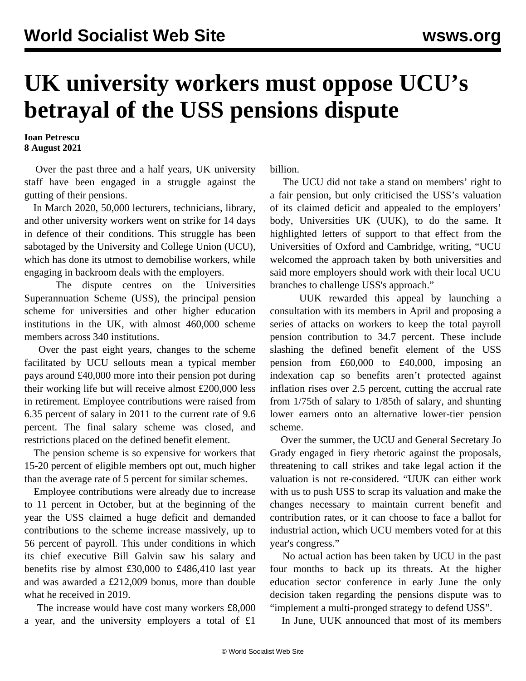## **UK university workers must oppose UCU's betrayal of the USS pensions dispute**

**Ioan Petrescu 8 August 2021**

 Over the past three and a half years, UK university staff have been engaged in a struggle against the gutting of their pensions.

 In March 2020, 50,000 lecturers, technicians, library, and other university workers went on strike for 14 days in defence of their conditions. This struggle has been sabotaged by the University and College Union (UCU), which has done its utmost to demobilise workers, while engaging in backroom deals with the employers.

 The dispute centres on the Universities Superannuation Scheme (USS), the principal pension scheme for universities and other higher education institutions in the UK, with almost 460,000 scheme members across 340 institutions.

 Over the past eight years, changes to the scheme facilitated by UCU sellouts mean a typical member pays around £40,000 more into their pension pot during their working life but will receive almost £200,000 less in retirement. Employee contributions were raised from 6.35 percent of salary in 2011 to the current rate of 9.6 percent. The final salary scheme was closed, and restrictions placed on the defined benefit element.

 The pension scheme is so expensive for workers that 15-20 percent of eligible members opt out, much higher than the average rate of 5 percent for similar schemes.

 Employee contributions were already due to increase to 11 percent in October, but at the beginning of the year the USS claimed a huge deficit and demanded contributions to the scheme increase massively, up to 56 percent of payroll. This under conditions in which its chief executive Bill Galvin saw his salary and benefits rise by almost £30,000 to £486,410 last year and was awarded a £212,009 bonus, more than double what he received in 2019.

 The increase would have cost many workers £8,000 a year, and the university employers a total of £1

billion.

 The UCU did not take a stand on members' right to a fair pension, but only criticised the USS's valuation of its claimed deficit and appealed to the employers' body, Universities UK (UUK), to do the same. It highlighted letters of support to that effect from the Universities of Oxford and Cambridge, writing, "UCU welcomed the approach taken by both universities and said more employers should work with their local UCU branches to challenge USS's approach."

 UUK rewarded this appeal by launching a consultation with its members in April and proposing a series of attacks on workers to keep the total payroll pension contribution to 34.7 percent. These include slashing the defined benefit element of the USS pension from £60,000 to £40,000, imposing an indexation cap so benefits aren't protected against inflation rises over 2.5 percent, cutting the accrual rate from 1/75th of salary to 1/85th of salary, and shunting lower earners onto an alternative lower-tier pension scheme.

 Over the summer, the UCU and General Secretary Jo Grady engaged in fiery rhetoric against the proposals, threatening to call strikes and take legal action if the valuation is not re-considered. "UUK can either work with us to push USS to scrap its valuation and make the changes necessary to maintain current benefit and contribution rates, or it can choose to face a ballot for industrial action, which UCU members voted for at this year's congress."

 No actual action has been taken by UCU in the past four months to back up its threats. At the higher education sector conference in early June the only decision taken regarding the pensions dispute was to "implement a multi-pronged strategy to defend USS".

In June, UUK announced that most of its members